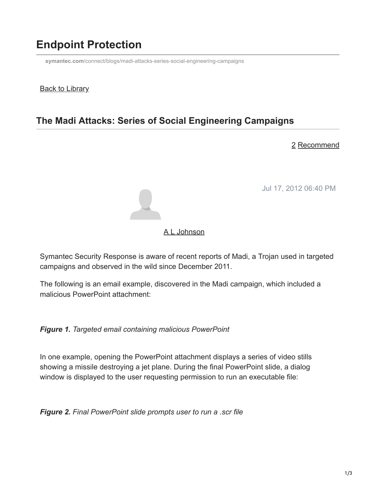## **Endpoint Protection**

**symantec.com**[/connect/blogs/madi-attacks-series-social-engineering-campaigns](https://www.symantec.com/connect/blogs/madi-attacks-series-social-engineering-campaigns)

#### **Back to Library**

### **The Madi Attacks: Series of Social Engineering Campaigns**

#### 2 Recommend

Jul 17, 2012 06:40 PM



#### [A L Johnson](https://community.broadcom.com/symantecenterprise/network/members/profile?UserKey=cbd453fd-3ce1-4c47-af77-d746256f9bc4)

Symantec Security Response is aware of recent reports of Madi, a Trojan used in targeted campaigns and observed in the wild since December 2011.

The following is an email example, discovered in the Madi campaign, which included a malicious PowerPoint attachment:

*Figure 1. Targeted email containing malicious PowerPoint*

In one example, opening the PowerPoint attachment displays a series of video stills showing a missile destroying a jet plane. During the final PowerPoint slide, a dialog window is displayed to the user requesting permission to run an executable file:

*Figure 2. Final PowerPoint slide prompts user to run a .scr file*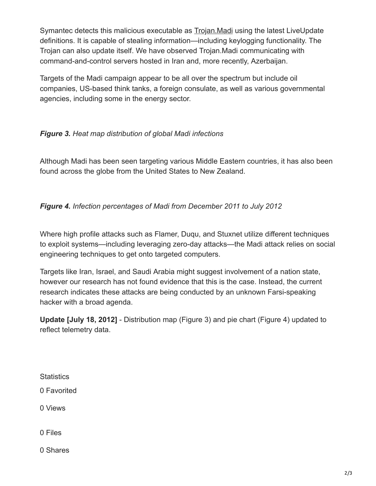Symantec detects this malicious executable as [Trojan.Madi](http://www.symantec.com/security_response/writeup.jsp?docid=2012-071723-0755-99) using the latest LiveUpdate definitions. It is capable of stealing information—including keylogging functionality. The Trojan can also update itself. We have observed Trojan.Madi communicating with command-and-control servers hosted in Iran and, more recently, Azerbaijan.

Targets of the Madi campaign appear to be all over the spectrum but include oil companies, US-based think tanks, a foreign consulate, as well as various governmental agencies, including some in the energy sector.

#### *Figure 3. Heat map distribution of global Madi infections*

Although Madi has been seen targeting various Middle Eastern countries, it has also been found across the globe from the United States to New Zealand.

#### *Figure 4. Infection percentages of Madi from December 2011 to July 2012*

Where high profile attacks such as Flamer, Duqu, and Stuxnet utilize different techniques to exploit systems—including leveraging zero-day attacks—the Madi attack relies on social engineering techniques to get onto targeted computers.

Targets like Iran, Israel, and Saudi Arabia might suggest involvement of a nation state, however our research has not found evidence that this is the case. Instead, the current research indicates these attacks are being conducted by an unknown Farsi-speaking hacker with a broad agenda.

**Update [July 18, 2012]** - Distribution map (Figure 3) and pie chart (Figure 4) updated to reflect telemetry data.

**Statistics** 

0 Favorited

0 Views

0 Files

0 Shares